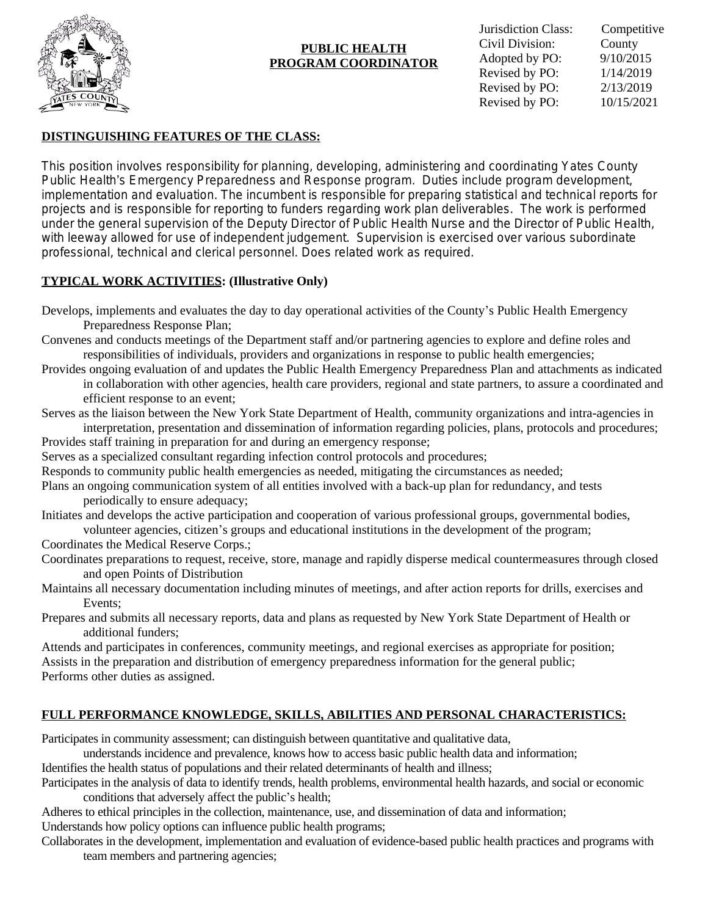

### **PUBLIC HEALTH PROGRAM COORDINATOR**

# **DISTINGUISHING FEATURES OF THE CLASS:**

This position involves responsibility for planning, developing, administering and coordinating Yates County Public Health's Emergency Preparedness and Response program. Duties include program development, implementation and evaluation. The incumbent is responsible for preparing statistical and technical reports for projects and is responsible for reporting to funders regarding work plan deliverables. The work is performed under the general supervision of the Deputy Director of Public Health Nurse and the Director of Public Health, with leeway allowed for use of independent judgement. Supervision is exercised over various subordinate professional, technical and clerical personnel. Does related work as required.

# **TYPICAL WORK ACTIVITIES: (Illustrative Only)**

- Convenes and conducts meetings of the Department staff and/or partnering agencies to explore and define roles and responsibilities of individuals, providers and organizations in response to public health emergencies;
- Provides ongoing evaluation of and updates the Public Health Emergency Preparedness Plan and attachments as indicated in collaboration with other agencies, health care providers, regional and state partners, to assure a coordinated and efficient response to an event;
- Serves as the liaison between the New York State Department of Health, community organizations and intra-agencies in interpretation, presentation and dissemination of information regarding policies, plans, protocols and procedures; Provides staff training in preparation for and during an emergency response;
- Serves as a specialized consultant regarding infection control protocols and procedures;
- Responds to community public health emergencies as needed, mitigating the circumstances as needed;
- Plans an ongoing communication system of all entities involved with a back-up plan for redundancy, and tests periodically to ensure adequacy;

Initiates and develops the active participation and cooperation of various professional groups, governmental bodies, volunteer agencies, citizen's groups and educational institutions in the development of the program;

Coordinates the Medical Reserve Corps.;

- Coordinates preparations to request, receive, store, manage and rapidly disperse medical countermeasures through closed and open Points of Distribution
- Maintains all necessary documentation including minutes of meetings, and after action reports for drills, exercises and Events;
- Prepares and submits all necessary reports, data and plans as requested by New York State Department of Health or additional funders;

Attends and participates in conferences, community meetings, and regional exercises as appropriate for position; Assists in the preparation and distribution of emergency preparedness information for the general public; Performs other duties as assigned.

## **FULL PERFORMANCE KNOWLEDGE, SKILLS, ABILITIES AND PERSONAL CHARACTERISTICS:**

Participates in community assessment; can distinguish between quantitative and qualitative data,

understands incidence and prevalence, knows how to access basic public health data and information; Identifies the health status of populations and their related determinants of health and illness;

Participates in the analysis of data to identify trends, health problems, environmental health hazards, and social or economic conditions that adversely affect the public's health;

Adheres to ethical principles in the collection, maintenance, use, and dissemination of data and information; Understands how policy options can influence public health programs;

Collaborates in the development, implementation and evaluation of evidence-based public health practices and programs with team members and partnering agencies;

Develops, implements and evaluates the day to day operational activities of the County's Public Health Emergency Preparedness Response Plan;